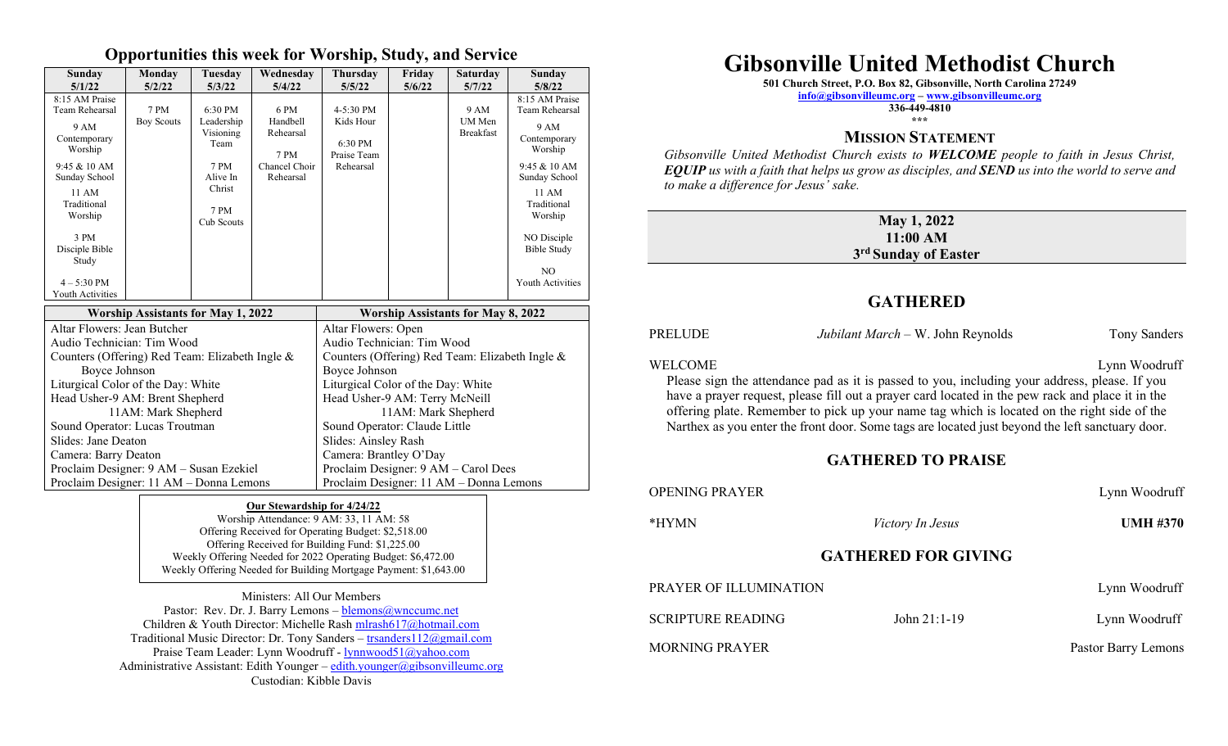#### **Opportunities this week for Worship, Study, and Service**

| Sunday<br>5/1/22                                       | Monday<br>5/2/22  | Tuesday<br>5/3/22               | Wednesdav<br>5/4/22                                   | <b>Thursday</b><br>5/5/22            | Friday<br>5/6/22 | <b>Saturday</b><br>5/7/22  | Sunday<br>5/8/22                          |
|--------------------------------------------------------|-------------------|---------------------------------|-------------------------------------------------------|--------------------------------------|------------------|----------------------------|-------------------------------------------|
| 8:15 AM Praise<br>Team Rehearsal                       | 7 PM              | 6:30 PM                         | 6 PM                                                  | $4 - 5:30$ PM                        |                  | 9 AM                       | $8:15$ AM Praise<br>Team Rehearsal        |
| 9 AM<br>Contemporary<br>Worship                        | <b>Boy Scouts</b> | Leadership<br>Visioning<br>Team | Handbell<br>Rehearsal<br>7 PM                         | Kids Hour<br>6:30 PM<br>Praise Team  |                  | UM Men<br><b>Breakfast</b> | 9 AM<br>Contemporary<br>Worship           |
| $9:45 \& 10 AM$<br>Sunday School                       |                   | 7 PM<br>Alive In                | Chancel Choir<br>Rehearsal                            | Rehearsal                            |                  |                            | $9:45 & 10$ AM<br>Sunday School           |
| 11 AM<br>Traditional<br>Worship                        |                   | Christ<br>7 PM<br>Cub Scouts    |                                                       |                                      |                  |                            | 11 AM<br>Traditional<br>Worship           |
| 3 PM<br>Disciple Bible<br>Study                        |                   |                                 |                                                       |                                      |                  |                            | NO Disciple<br><b>Bible Study</b>         |
| $4 - 5:30$ PM<br>Youth Activities                      |                   |                                 |                                                       |                                      |                  |                            | N <sub>O</sub><br><b>Youth Activities</b> |
| <b>Worship Assistants for May 1, 2022</b>              |                   |                                 | <b>Worship Assistants for May 8, 2022</b>             |                                      |                  |                            |                                           |
| Altar Flowers: Jean Butcher                            |                   |                                 | Altar Flowers: Open                                   |                                      |                  |                            |                                           |
| Audio Technician: Tim Wood                             |                   |                                 | Audio Technician: Tim Wood                            |                                      |                  |                            |                                           |
| Counters (Offering) Red Team: Elizabeth Ingle &        |                   |                                 | Counters (Offering) Red Team: Elizabeth Ingle &       |                                      |                  |                            |                                           |
| Boyce Johnson                                          |                   |                                 | Boyce Johnson                                         |                                      |                  |                            |                                           |
| Liturgical Color of the Day: White                     |                   |                                 | Liturgical Color of the Day: White                    |                                      |                  |                            |                                           |
| Head Usher-9 AM: Brent Shepherd<br>11AM: Mark Shepherd |                   |                                 | Head Usher-9 AM: Terry McNeill<br>11AM: Mark Shepherd |                                      |                  |                            |                                           |
| Sound Operator: Lucas Troutman                         |                   |                                 | Sound Operator: Claude Little                         |                                      |                  |                            |                                           |
| Slides: Jane Deaton                                    |                   |                                 | Slides: Ainsley Rash                                  |                                      |                  |                            |                                           |
| Camera: Barry Deaton                                   |                   |                                 | Camera: Brantley O'Day                                |                                      |                  |                            |                                           |
| Proclaim Designer: 9 AM - Susan Ezekiel                |                   |                                 |                                                       | Proclaim Designer: 9 AM - Carol Dees |                  |                            |                                           |
| Proclaim Designer: 11 AM - Donna Lemons                |                   |                                 | Proclaim Designer: 11 AM - Donna Lemons               |                                      |                  |                            |                                           |

#### **Our Stewardship for 4/24/22**

Worship Attendance: 9 AM: 33, 11 AM: 58 Offering Received for Operating Budget: \$2,518.00 Offering Received for Building Fund: \$1,225.00 Weekly Offering Needed for 2022 Operating Budget: \$6,472.00 Weekly Offering Needed for Building Mortgage Payment: \$1,643.00

Ministers: All Our Members Pastor: Rev. Dr. J. Barry Lemons  $-\frac{blemon(s)}{a}$ wnccumc.net Children & Youth Director: Michelle Rash [mlrash617@hotmail.com](mailto:mlrash617@hotmail.com) Traditional Music Director: Dr. Tony Sanders – [trsanders112@gmail.com](mailto:trsanders112@gmail.com) Praise Team Leader: Lynn Woodruff - [lynnwood51@yahoo.com](mailto:lynnwood51@yahoo.com) Administrative Assistant: Edith Younger – [edith.younger@gibsonvilleumc.org](mailto:edith.younger@gibsonvilleumc.org) Custodian: Kibble Davis

# **Gibsonville United Methodist Church**

**501 Church Street, P.O. Box 82, Gibsonville, North Carolina 27249**

**[info@gibsonvilleumc.org](mailto:info@gibsonvilleumc.org) – [www.gibsonvilleumc.org](http://www.gibsonvilleumc.org/)**

**336-449-4810 \*\*\***

### **MISSION STATEMENT**

*Gibsonville United Methodist Church exists to WELCOME people to faith in Jesus Christ, EQUIP us with a faith that helps us grow as disciples, and SEND us into the world to serve and to make a difference for Jesus' sake.*

#### **May 1, 2022 11:00 AM 3 rd Sunday of Easter**

### **GATHERED**

| PRELUDE | Jubilant March - W. John Reynolds                                                                                                                                                                                                                                                                                                                                                                   | Tony Sanders  |
|---------|-----------------------------------------------------------------------------------------------------------------------------------------------------------------------------------------------------------------------------------------------------------------------------------------------------------------------------------------------------------------------------------------------------|---------------|
| WELCOME | Please sign the attendance pad as it is passed to you, including your address, please. If you<br>have a prayer request, please fill out a prayer card located in the pew rack and place it in the<br>offering plate. Remember to pick up your name tag which is located on the right side of the<br>Narthex as you enter the front door. Some tags are located just beyond the left sanctuary door. | Lynn Woodruff |

#### **GATHERED TO PRAISE**

| OPENING PRAYER           |                            | Lynn Woodruff       |
|--------------------------|----------------------------|---------------------|
| *HYMN                    | <i>Victory In Jesus</i>    | <b>UMH #370</b>     |
|                          | <b>GATHERED FOR GIVING</b> |                     |
| PRAYER OF ILLUMINATION   |                            | Lynn Woodruff       |
| <b>SCRIPTURE READING</b> | John $21:1-19$             | Lynn Woodruff       |
| <b>MORNING PRAYER</b>    |                            | Pastor Barry Lemons |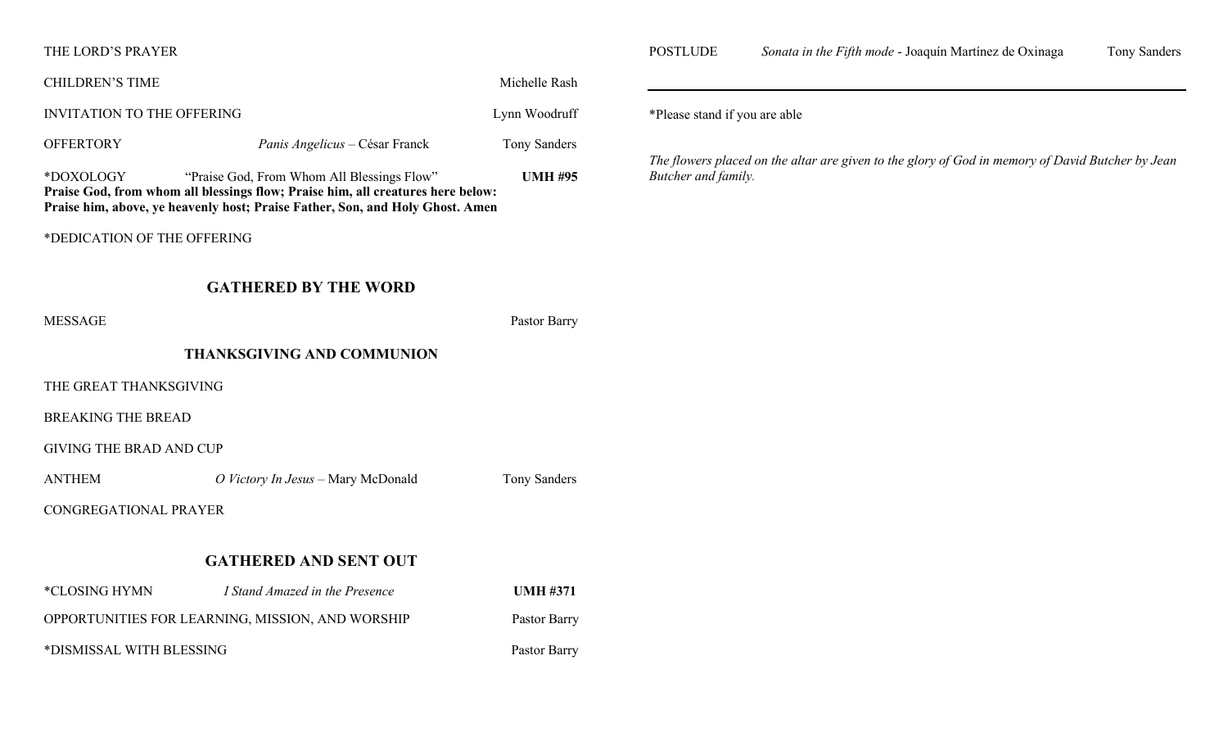#### THE LORD'S PRAYER

| Michelle Rash<br><b>CHILDREN'S TIME</b>            |                                                                                                                                                                                                                |                 |  |  |  |  |
|----------------------------------------------------|----------------------------------------------------------------------------------------------------------------------------------------------------------------------------------------------------------------|-----------------|--|--|--|--|
| <b>INVITATION TO THE OFFERING</b><br>Lynn Woodruff |                                                                                                                                                                                                                |                 |  |  |  |  |
| <b>OFFERTORY</b>                                   | Panis Angelicus - César Franck                                                                                                                                                                                 | Tony Sanders    |  |  |  |  |
| *DOXOLOGY                                          | "Praise God, From Whom All Blessings Flow"<br>Praise God, from whom all blessings flow; Praise him, all creatures here below:<br>Praise him, above, ye heavenly host; Praise Father, Son, and Holy Ghost. Amen | <b>UMH #95</b>  |  |  |  |  |
| *DEDICATION OF THE OFFERING                        |                                                                                                                                                                                                                |                 |  |  |  |  |
|                                                    | <b>GATHERED BY THE WORD</b>                                                                                                                                                                                    |                 |  |  |  |  |
| <b>MESSAGE</b>                                     |                                                                                                                                                                                                                | Pastor Barry    |  |  |  |  |
|                                                    | <b>THANKSGIVING AND COMMUNION</b>                                                                                                                                                                              |                 |  |  |  |  |
| THE GREAT THANKSGIVING                             |                                                                                                                                                                                                                |                 |  |  |  |  |
| <b>BREAKING THE BREAD</b>                          |                                                                                                                                                                                                                |                 |  |  |  |  |
| <b>GIVING THE BRAD AND CUP</b>                     |                                                                                                                                                                                                                |                 |  |  |  |  |
| <b>ANTHEM</b>                                      | O Victory In Jesus - Mary McDonald                                                                                                                                                                             | Tony Sanders    |  |  |  |  |
| CONGREGATIONAL PRAYER                              |                                                                                                                                                                                                                |                 |  |  |  |  |
| <b>GATHERED AND SENT OUT</b>                       |                                                                                                                                                                                                                |                 |  |  |  |  |
| *CLOSING HYMN                                      | I Stand Amazed in the Presence                                                                                                                                                                                 | <b>UMH #371</b> |  |  |  |  |
| OPPORTUNITIES FOR LEARNING, MISSION, AND WORSHIP   | Pastor Barry                                                                                                                                                                                                   |                 |  |  |  |  |
| *DISMISSAL WITH BLESSING                           | Pastor Barry                                                                                                                                                                                                   |                 |  |  |  |  |
|                                                    |                                                                                                                                                                                                                |                 |  |  |  |  |

POSTLUDE *Sonata in the Fifth mode* - Joaquín Martínez de Oxinaga Tony Sanders

\*Please stand if you are able

*The flowers placed on the altar are given to the glory of God in memory of David Butcher by Jean Butcher and family.*